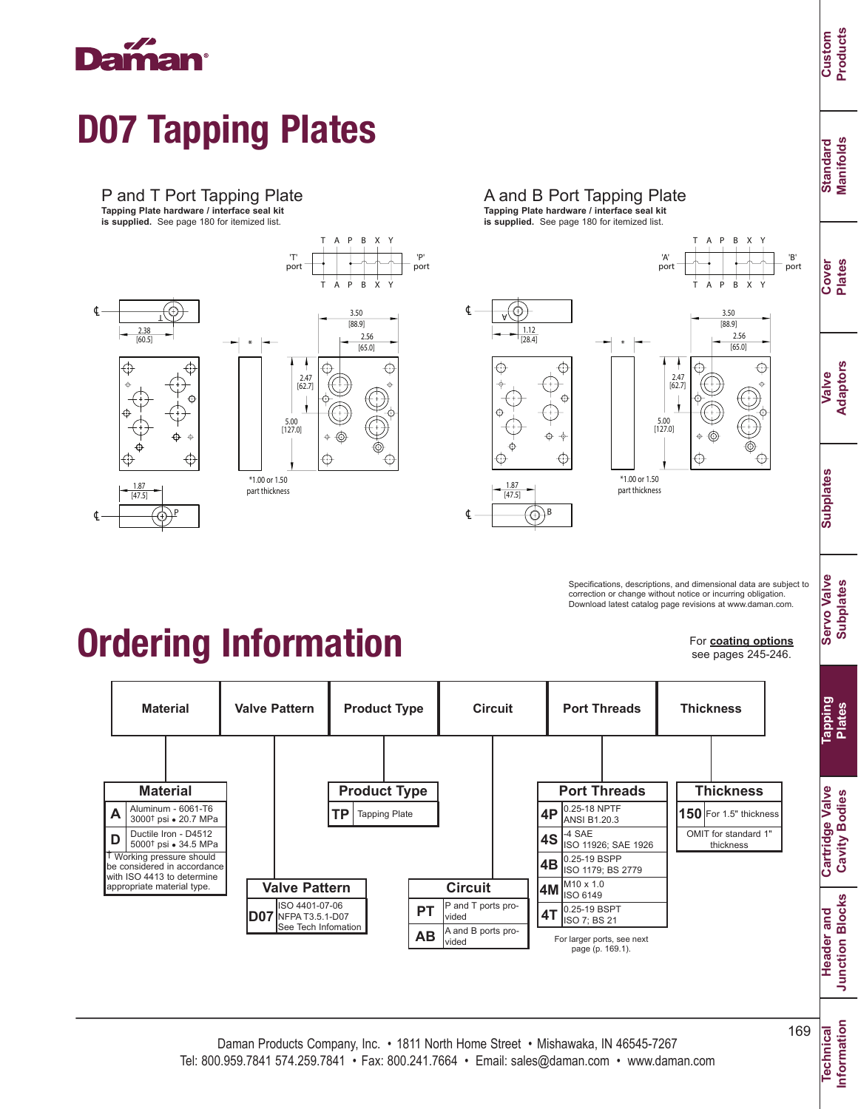

# D07 Tapping Plates

#### P and T Port Tapping Plate

**Tapping Plate hardware / interface seal kit is supplied.** See page 180 for itemized list.





T A P B

X Y





2.56 3.50 [88.9]  $[65.0]$ 

T A P B

X Y

X Y

Specifications, descriptions, and dimensional data are subject to correction or change without notice or incurring obligation. Download latest catalog page revisions at www.daman.com.

## Ordering Information

For **coating options** see pages 245-246.



**Standard Manifolds**

Standard<br>Manifolds

**Cover Plates**

**Valve Adaptors**

**Subplates**

**Subplates** 

**Servo Valve Subplates**

**Servo Valve Subplates** 

**Plates**

**Cavity Bodies**

**Cavity Bodies** 

**Junction Blocks**

**Junction Blocks** 

**Information**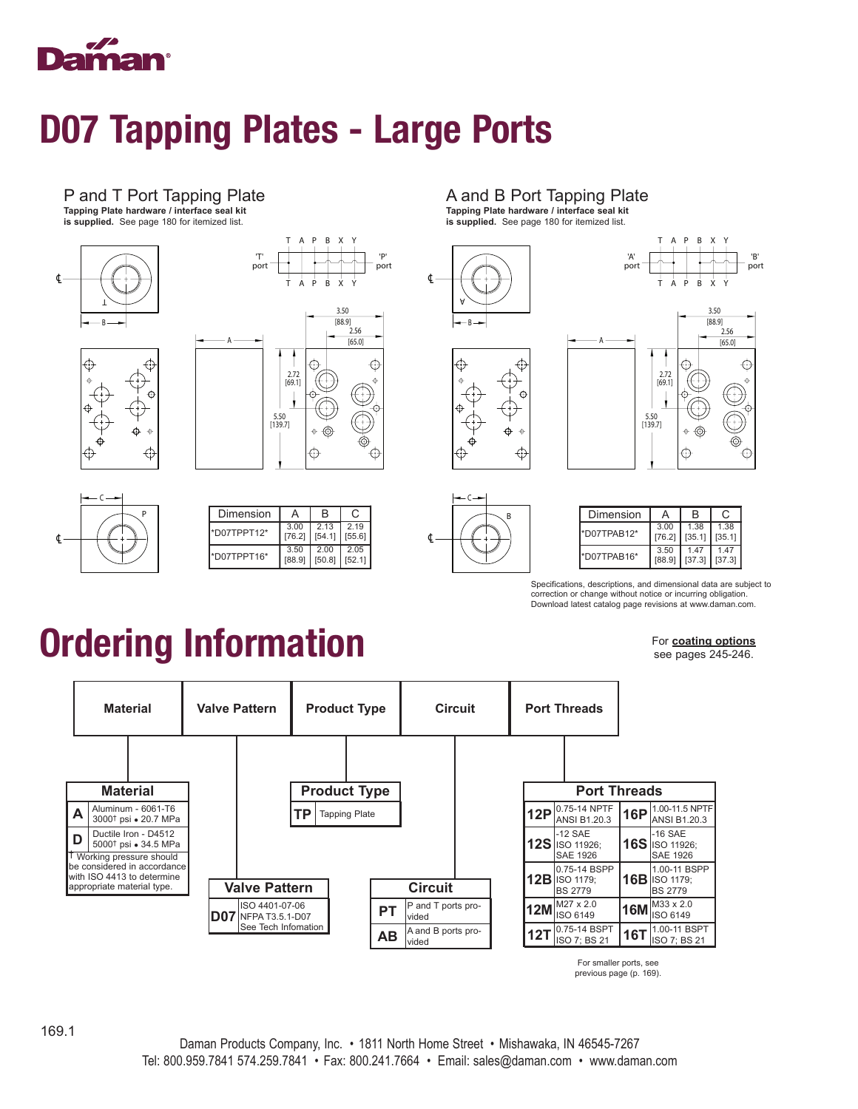

### D07 Tapping Plates - Large Ports

#### P and T Port Tapping Plate

**Tapping Plate hardware / interface seal kit is supplied.** See page 180 for itemized list.











| Dimension   | А              | B              | C             |
|-------------|----------------|----------------|---------------|
| *D07TPPT12* | 3.00<br>[76.2] | 2.13<br>[54.1] | 219<br>[55.6] |
| *D07TPPT16* | 3.50<br>[88.9] | 2.00<br>[50.8] | 205<br>[52.1] |

#### A and B Port Tapping Plate

**Tapping Plate hardware / interface seal kit is supplied.** See page 180 for itemized list.





| Dimension   | А      | R      | C.     |
|-------------|--------|--------|--------|
| *D07TPAB12* | 3.00   | 1.38   | 1.38   |
|             | [76.2] | [35.1] | [35.1] |
| *D07TPAB16* | 3.50   | 147    | 1 47   |
|             | [88.9] | [37.3] | [37.3] |

Specifications, descriptions, and dimensional data are subject to correction or change without notice or incurring obligation. Download latest catalog page revisions at www.daman.com.

# Ordering Information

For **coating options** see pages 245-246.



For smaller ports, see previous page (p. 169).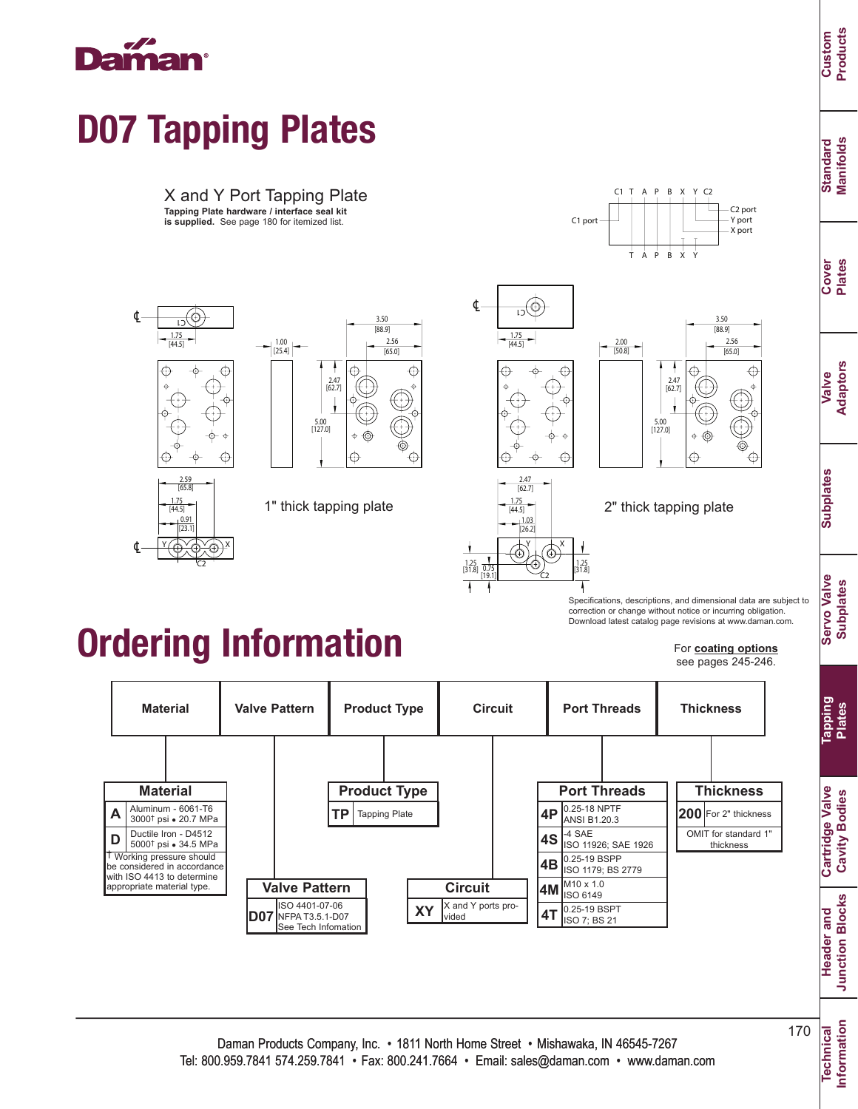℄

℄

# D07 Tapping Plates

X and Y Port Tapping Plate **Tapping Plate hardware / interface seal kit is supplied.** See page 180 for itemized list.



0.91

[44.5] 1.75

[23.1] Y *(U*YU)X C2





1.03

 $[44.5]$ 

[26.2]  $Y \downharpoonright \rightarrow X$ 

1.25 [31.8] 1.25

C2

1.25<br>31.8]

ī

0.75 [19.1]



X Y

 $\mathsf{x}$ 

 $Y$   $C2$ 

X port

Y port C2 port

1" thick tapping plate  $\frac{1.75}{[44.5]}$  2" thick tapping plate

T A P B

 $C1$  T A P B

 $C1$  port

Specifications, descriptions, and dimensional data are subject to correction or change without notice or incurring obligation. Download latest catalog page revisions at www.daman.com.

#### For **coating options**

see pages 245-246.

0.25-19 BSPP ISO 1179; BS 2779 M10 x 1.0 ISO 6149 **4B 4M 4T** 0.25-19 BSPT **Valve Pattern** ISO 4401-07-06 NFPA T3.5.1-D07 See Tech Infomation **D07 Circuit**  $XY$   $\begin{array}{|c|c|}\nX \text{ and } Y \text{ ports provide}\n\end{array}$ 0.25-18 NPTF ANSI B1.20.3 -4 SAE ISO 11926; SAE 1926 **4P 4S Product Type** | | | Port Threads **Tapping Plate Material Valve Pattern Product Type Circuit Port Threads Material D** † Working pressure should be considered in accordance with ISO 4413 to determine appropriate material type. Ductile Iron - D4512 5000<sup>†</sup> psi · 34.5 MPa  $\mathsf{A}$   $\left| \begin{array}{l}\text{Aluminum - 6061-T6} \ \text{3000}^{\dagger} \text{psi - 20.7 MPa} \end{array} \right.$ **Thickness Thickness 200** For 2" thickness OMIT for standard 1 thickness

**Cartridge Valve Cartridge Valve Cavity Bodies Cavity Bodies**

**Information**

Information

Daman Products Company, Inc. • 1811 North Home Street • Mishawaka, IN 46545-7267 Tel: 800.959.7841 574.259.7841 • Fax: 800.241.7664 • Email: sales@daman.com • www.daman.com 170

**Custom Products**

> **Standard Manifolds**

Standard<br>Manifolds

**Cover Plates**

**Valve Adaptors**

**Subplates**

**Subplates** 

**Servo Valve Subplates**

**Servo Valve Subplates** 

**Tapping Plates**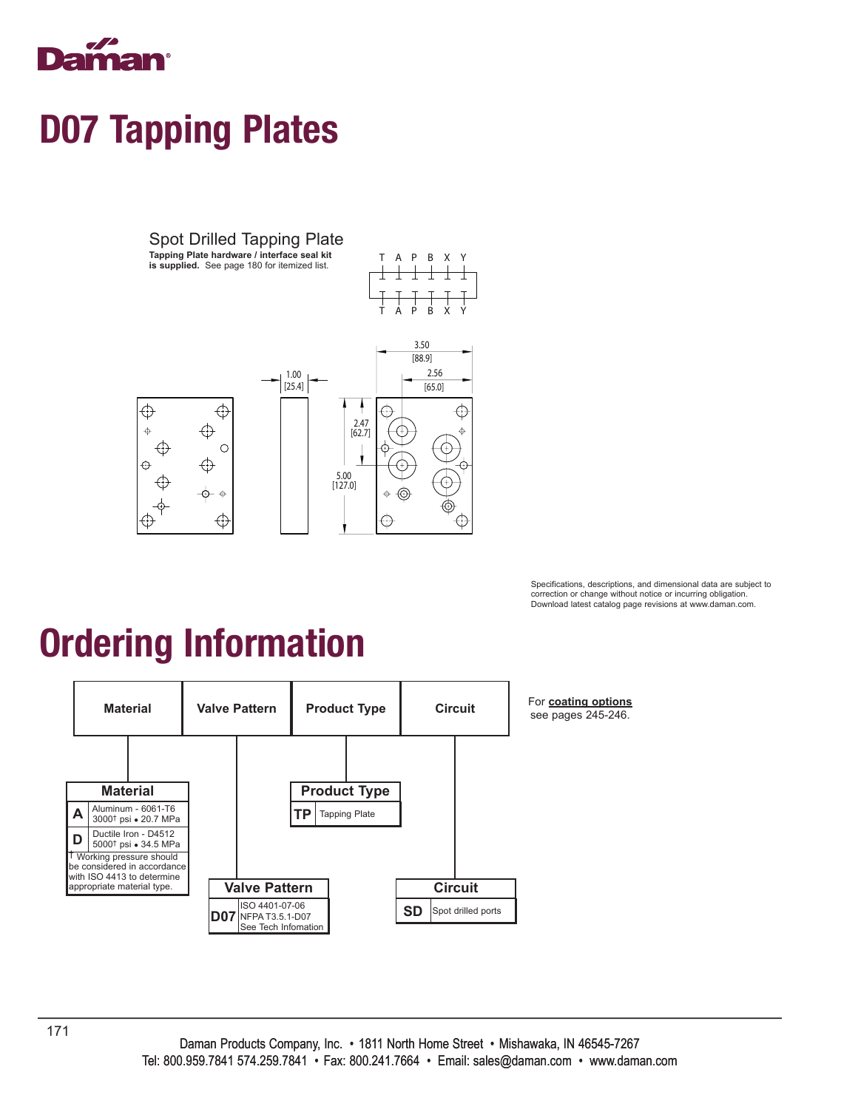

## D07 Tapping Plates



Specifications, descriptions, and dimensional data are subject to correction or change without notice or incurring obligation. Download latest catalog page revisions at www.daman.com.

# Ordering Information